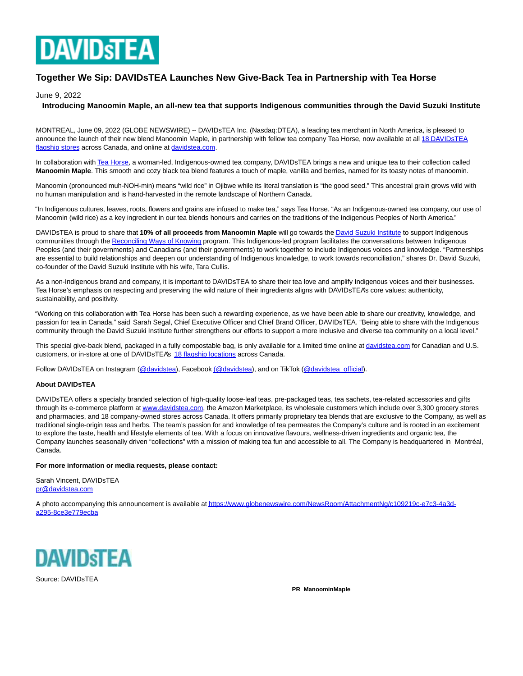

# **Together We Sip: DAVIDsTEA Launches New Give-Back Tea in Partnership with Tea Horse**

## June 9, 2022

## **Introducing Manoomin Maple, an all-new tea that supports Indigenous communities through the David Suzuki Institute**

MONTREAL, June 09, 2022 (GLOBE NEWSWIRE) -- DAVIDsTEA Inc. (Nasdaq:DTEA), a leading tea merchant in North America, is pleased to announce the launch of their new blend Manoomin Maple, in partnership with fellow tea company Tea Horse, now available at all 18 DAVIDSTEA flagship stores across Canada, and online at [davidstea.com.](https://www.globenewswire.com/Tracker?data=0tPYgpvAeYz5Z_7Uz4_UM8X4RnSo59M5In1jVWug68XBlKKKGdbWVn1olwSOcdTK3gSwdd1G3aGLnWjz0uDUpnPLmZJ12NrdViI3cKpoIZQ=)

In collaboration wit[h Tea Horse,](https://www.globenewswire.com/Tracker?data=KfSi_eyWPD_QrGH0THzYyVL-RPtbwLd97_s7yUBBTJCy5Chbos_5ZJGzzbaB9420Ls0QT_FQ_1X80MZtyxPnVw==) a woman-led, Indigenous-owned tea company, DAVIDSTEA brings a new and unique tea to their collection called **Manoomin Maple**. This smooth and cozy black tea blend features a touch of maple, vanilla and berries, named for its toasty notes of manoomin.

Manoomin (pronounced muh-NOH-min) means "wild rice" in Ojibwe while its literal translation is "the good seed." This ancestral grain grows wild with no human manipulation and is hand-harvested in the remote landscape of Northern Canada.

"In Indigenous cultures, leaves, roots, flowers and grains are infused to make tea," says Tea Horse. "As an Indigenous-owned tea company, our use of Manoomin (wild rice) as a key ingredient in our tea blends honours and carries on the traditions of the Indigenous Peoples of North America."

DAVIDsTEA is proud to share that **10% of all proceeds from Manoomin Maple** will go towards th[e David Suzuki Institute t](https://www.globenewswire.com/Tracker?data=-5XxyCpAi5N8wAqPY8XesJFWKfBo7C_Id9RfIWHtqByrS03_wZW1xpwWi830U3cldXos98yLlz-Z7SqRetefmhDHi_dIxERJh8j496YQMNk=)o support Indigenous communities through th[e Reconciling Ways of Knowing p](https://www.globenewswire.com/Tracker?data=LFm48MNLQQg7pdFp5mYoLpZnoKZRaw_6B4RFWPgz6BlkAmZQ94wgxMbywIT_0JmAumSuUWc0cK1SrTFtBuqKRW1Y2OYy-GiG3Pkv5i2lmjyvpVBFk4j6rPv9Vw_Bts1KBaUOVHYIx_3rnY-U_MJ2cQ==)rogram. This Indigenous-led program facilitates the conversations between Indigenous Peoples (and their governments) and Canadians (and their governments) to work together to include Indigenous voices and knowledge. "Partnerships are essential to build relationships and deepen our understanding of Indigenous knowledge, to work towards reconciliation," shares Dr. David Suzuki, co-founder of the David Suzuki Institute with his wife, Tara Cullis.

As a non-Indigenous brand and company, it is important to DAVIDsTEA to share their tea love and amplify Indigenous voices and their businesses. Tea Horse's emphasis on respecting and preserving the wild nature of their ingredients aligns with DAVIDsTEA's core values: authenticity, sustainability, and positivity.

"Working on this collaboration with Tea Horse has been such a rewarding experience, as we have been able to share our creativity, knowledge, and passion for tea in Canada," said Sarah Segal, Chief Executive Officer and Chief Brand Officer, DAVIDsTEA. "Being able to share with the Indigenous community through the David Suzuki Institute further strengthens our efforts to support a more inclusive and diverse tea community on a local level."

This special give-back blend, packaged in a fully compostable bag, is only available for a limited time online at [davidstea.com f](https://www.globenewswire.com/Tracker?data=0tPYgpvAeYz5Z_7Uz4_UM_emLZOJFouGZP5SazgZHx7pfjnMaPKRCM33PPvdY1QbQ3hP_6AJeBVuTAy7BO-ltQpC0GjezhjmyNtQAbJrqSE=)or Canadian and U.S. customers, or in-store at one of DAVIDsTEA's [18 flagship locations a](https://www.globenewswire.com/Tracker?data=sB5uhYleHHaeJA5j0E28THlfqFNxSAoADSKGuXy29MMbIWGJbdTolu4uhB0qlKiqpqF8bfX2E6THs7MKLmyCRloGhzmwK11Y3ZKy8qp7SiU=)cross Canada.

Follow DAVIDsTEA on Instagram [\(@davidstea\),](https://www.globenewswire.com/Tracker?data=vpUnXwXDxr6Tf0PZgJMkhloL2wDbTpb9qrINrQf2eWOBwi7wdP54eYLd126SGtw1_Heq_iYFAvS5PQ1A6OLn51OIC9AgJpJ05yTXWrRtiW4=) Faceboo[k \(@davidstea\),](https://www.globenewswire.com/Tracker?data=Vvvpcenq5qSE2kpJ9x9xB0_1mWy1BUuAHPLdV4xD2_Amzy0CisdpWnHi60aVoF-wlT33oVYaVE9nDfKAkQcLKBKTFXkmF6J-ga95iO5Q7UI=) and on TikTok [\(@davidstea\\_official\).](https://www.globenewswire.com/Tracker?data=vpUnXwXDxr6Tf0PZgJMkhpYZZ_LfR60a2BOKtbzlVWerPrcXPg3qUs8zmPdRcGQDssyt3iDkSApbfX3ei8qW8_wVom5e9lqLgTC2b_S4rWdRBMYenk0kjCXzWPpxUwUA)

### **About DAVIDsTEA**

DAVIDsTEA offers a specialty branded selection of high-quality loose-leaf teas, pre-packaged teas, tea sachets, tea-related accessories and gifts through its e-commerce platform a[t www.davidstea.com,](http://www.davidstea.com/) the Amazon Marketplace, its wholesale customers which include over 3,300 grocery stores and pharmacies, and 18 company-owned stores across Canada. It offers primarily proprietary tea blends that are exclusive to the Company, as well as traditional single-origin teas and herbs. The team's passion for and knowledge of tea permeates the Company's culture and is rooted in an excitement to explore the taste, health and lifestyle elements of tea. With a focus on innovative flavours, wellness-driven ingredients and organic tea, the Company launches seasonally driven "collections" with a mission of making tea fun and accessible to all. The Company is headquartered in Montréal, Canada.

### **For more information or media requests, please contact:**

Sarah Vincent, DAVIDsTEA [pr@davidstea.com](https://www.globenewswire.com/Tracker?data=-uRjPFDuRn74P3g-aji3I30jbtbDQZKBVM7DaS1Oe-tkyY4UytChOBwmbJSj3O-wWM16lY2zwzgqrBB6nd4U2w==)

A photo accompanying this announcement is available a[t https://www.globenewswire.com/NewsRoom/AttachmentNg/c109219c-e7c3-4a3d](https://www.globenewswire.com/Tracker?data=8WxfBeZwE23qmDqW6wkkPdLY8ujkahUMQ8ncSdxKnAhmSFE1Ik42ehlZaU3kAYKYOhXTLiSyjFu4v29CTPBVAU0cjzcUrAUFPvn3xri6Jct3ZIS1Ll0NiuevOJ98dHyP3-GRDyjjYO82OY8PtFbr5o-AQww83KZ-4Zed79lc9IF770TfASaZ4HMW2RPleZLEMixEhNf2icIlkQjhj38Jj0mT6Wp_CpHFM4PufE5CjY7aCvdrpihPo1GjNzePUO3dNnCGW8yBU6x5rEeO6a3SQg==)a295-8ce3e779ecba



Source: DAVIDsTEA

**PR\_ManoominMaple**